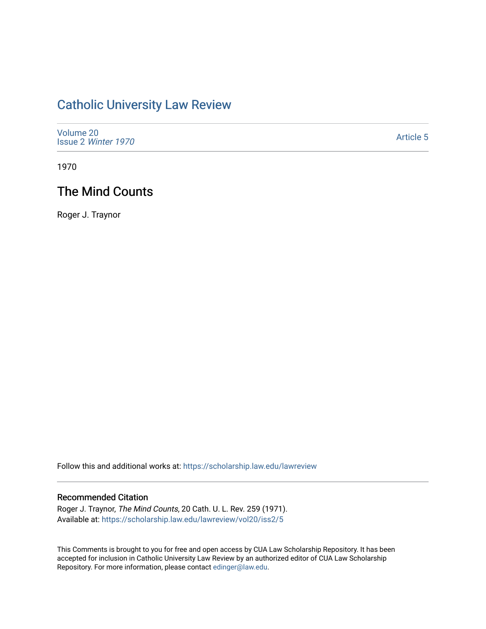# [Catholic University Law Review](https://scholarship.law.edu/lawreview)

| Volume 20<br>Issue 2 Winter 1970 | <b>Article 5</b> |
|----------------------------------|------------------|
|----------------------------------|------------------|

1970

# The Mind Counts

Roger J. Traynor

Follow this and additional works at: [https://scholarship.law.edu/lawreview](https://scholarship.law.edu/lawreview?utm_source=scholarship.law.edu%2Flawreview%2Fvol20%2Fiss2%2F5&utm_medium=PDF&utm_campaign=PDFCoverPages)

### Recommended Citation

Roger J. Traynor, The Mind Counts, 20 Cath. U. L. Rev. 259 (1971). Available at: [https://scholarship.law.edu/lawreview/vol20/iss2/5](https://scholarship.law.edu/lawreview/vol20/iss2/5?utm_source=scholarship.law.edu%2Flawreview%2Fvol20%2Fiss2%2F5&utm_medium=PDF&utm_campaign=PDFCoverPages)

This Comments is brought to you for free and open access by CUA Law Scholarship Repository. It has been accepted for inclusion in Catholic University Law Review by an authorized editor of CUA Law Scholarship Repository. For more information, please contact [edinger@law.edu.](mailto:edinger@law.edu)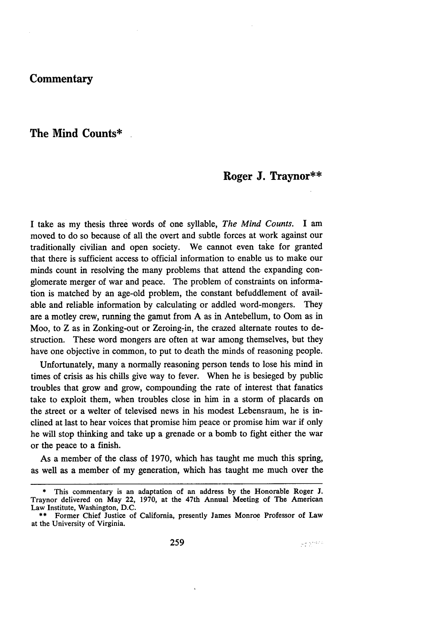# **Commentary**

### **The Mind Counts\***

## **Roger J. Traynor\*\***

I take as my thesis three words of one syllable, *The Mind Counts.* I am moved to do so because of all the overt and subtle forces at work against our traditionally civilian and open society. We cannot even take for granted that there is sufficient access to official information to enable us to make our minds count in resolving the many problems that attend the expanding conglomerate merger of war and peace. The problem of constraints on information is matched **by** an age-old problem, the constant befuddlement of available and reliable information **by** calculating or addled word-mongers. They are a motley crew, running the gamut from A as in Antebellum, to Oom as in Moo, to Z as in Zonking-out or Zeroing-in, the crazed alternate routes to destruction. These word mongers are often at war among themselves, but they have one objective in common, to put to death the minds of reasoning people.

Unfortunately, many a normally reasoning person tends to lose his mind in times of crisis as his chills give way to fever. When he is besieged **by** public troubles that grow and grow, compounding the rate of interest that fanatics take to exploit them, when troubles close in him in a storm of placards on the street or a welter of televised news in his modest Lebensraum, he is inclined at last to hear voices that promise him peace or promise him war if only he will stop thinking and take up a grenade or a bomb to fight either the war or the peace to a finish.

As a member of the class of 1970, which has taught me much this spring, as well as a member of my generation, which has taught me much over the

**<sup>\*</sup>** This commentary is an adaptation of an address **by** the Honorable Roger **J.** Traynor delivered on May 22, **1970,** at the 47th Annual Meeting of The American Law Institute, Washington, D.C.

**<sup>\*\*</sup>** Former Chief Justice of California, presently James Monroe Professor of Law at the University of Virginia.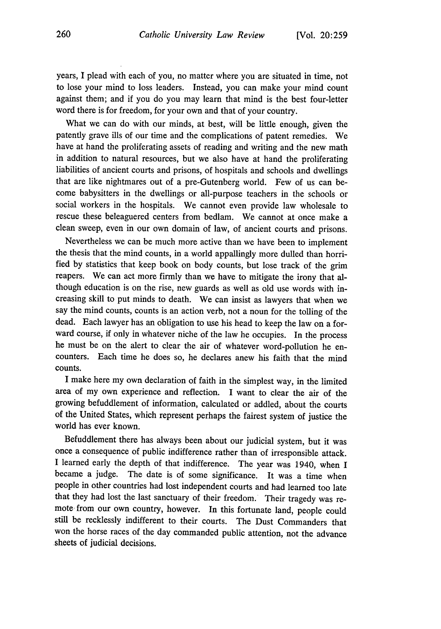years, I plead with each of you, no matter where you are situated in time, not to lose your mind to loss leaders. Instead, you can make your mind count against them; and if you do you may learn that mind is the best four-letter word there is for freedom, for your own and that of your country.

What we can do with our minds, at best, will be little enough, given the patently grave ills of our time and the complications of patent remedies. We have at hand the proliferating assets of reading and writing and the new math in addition to natural resources, but we also have at hand the proliferating liabilities of ancient courts and prisons, of hospitals and schools and dwellings that are like nightmares out of a pre-Gutenberg world. Few of us can become babysitters in the dwellings or all-purpose teachers in the schools or social workers in the hospitals. We cannot even provide law wholesale to rescue these beleaguered centers from bedlam. We cannot at once make a clean sweep, even in our own domain of law, of ancient courts and prisons.

Nevertheless we can be much more active than we have been to implement the thesis that the mind counts, in a world appallingly more dulled than horrified by statistics that keep book on body counts, but lose track of the grim reapers. We can act more firmly than we have to mitigate the irony that although education is on the rise, new guards as well as old use words with increasing skill to put minds to death. We can insist as lawyers that when we say the mind counts, counts is an action verb, not a noun for the tolling of the dead. Each lawyer has an obligation to use his head to keep the law on a forward course, if only in whatever niche of the law he occupies. In the process he must be on the alert to clear the air of whatever word-pollution he encounters. Each time he does so, he declares anew his faith that the mind counts.

I make here my own declaration of faith in the simplest way, in the limited area of my own experience and reflection. I want to clear the air of the growing befuddlement of information, calculated or addled, about the courts of the United States, which represent perhaps the fairest system of justice the world has ever known.

Befuddlement there has always been about our judicial system, but it was once a consequence of public indifference rather than of irresponsible attack. I learned early the depth of that indifference. The year was 1940, when I became a judge. The date is of some significance. It was a time when people in other countries had lost independent courts and had learned too late that they had lost the last sanctuary of their freedom. Their tragedy was remote from our own country, however. In this fortunate land, people could still be recklessly indifferent to their courts. The Dust Commanders that won the horse races of the day commanded public attention, not the advance sheets of judicial decisions.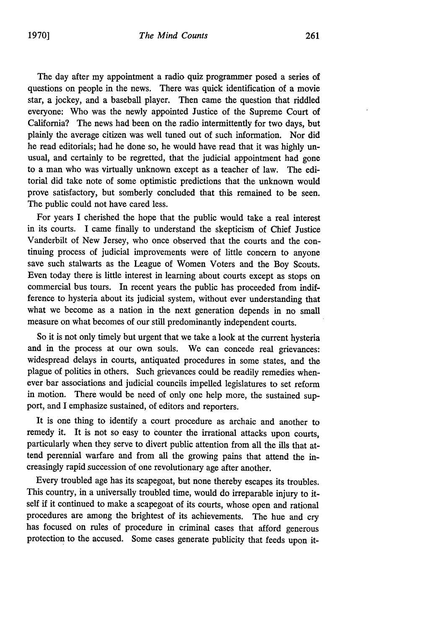The day after my appointment a radio quiz programmer posed a series of questions on people in the news. There was quick identification of a movie star, a jockey, and a baseball player. Then came the question that riddled everyone: Who was the newly appointed Justice of the Supreme Court of California? The news had been on the radio intermittently for two days, but plainly the average citizen was well tuned out of such information. Nor did he read editorials; had he done so, he would have read that it was highly unusual, and certainly to be regretted, that the judicial appointment had gone to a man who was virtually unknown except as a teacher of law. The editorial did take note of some optimistic predictions that the unknown would prove satisfactory, but somberly concluded that this remained to be seen. The public could not have cared less.

For years I cherished the hope that the public would take a real interest in its courts. I came finally to understand the skepticism of Chief Justice Vanderbilt of New Jersey, who once observed that the courts and the continuing process of judicial improvements were of little concern to anyone save such stalwarts as the League of Women Voters and the Boy Scouts. Even today there is little interest in learning about courts except as stops on commercial bus tours. In recent years the public has proceeded from indifference to hysteria about its judicial system, without ever understanding that what we become as a nation in the next generation depends in no small measure on what becomes of our still predominantly independent courts.

So it is not only timely but urgent that we take a look at the current hysteria and in the process at our own souls. We can concede real grievances: widespread delays in courts, antiquated procedures in some states, and the plague of politics in others. Such grievances could be readily remedies whenever bar associations and judicial councils impelled legislatures to set reform in motion. There would be need of only one help more, the sustained support, and I emphasize sustained, of editors and reporters.

It is one thing to identify a court procedure as archaic and another to remedy it. It is not so easy to counter the irrational attacks upon courts, particularly when they serve to divert public attention from all the ills that attend perennial warfare and from all the growing pains that attend the increasingly rapid succession of one revolutionary age after another.

Every troubled age has its scapegoat, but none thereby escapes its troubles. This country, in a universally troubled time, would do irreparable injury to itself if it continued to make a scapegoat of its courts, whose open and rational procedures are among the brightest of its achievements. The hue and cry has focused on rules of procedure in criminal cases that afford generous protection to the accused. Some cases generate publicity that feeds upon it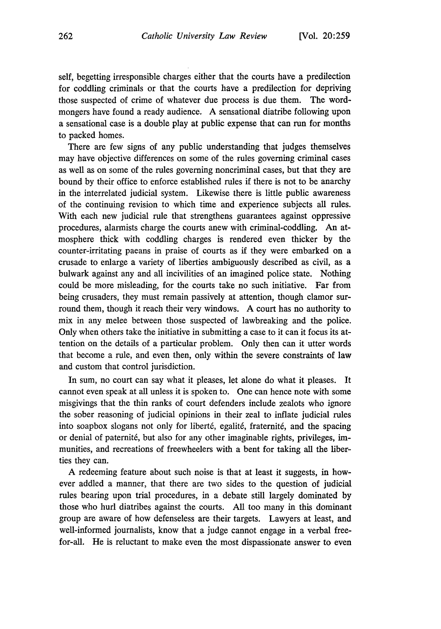self, begetting irresponsible charges either that the courts have a predilection for coddling criminals or that the courts have a predilection for depriving those suspected of crime of whatever due process is due them. The wordmongers have found a ready audience. A sensational diatribe following upon a sensational case is a double play at public expense that can run for months to packed homes.

There are few signs of any public understanding that judges themselves may have objective differences on some of the rules governing criminal cases as well as on some of the rules governing noncriminal cases, but that they are bound by their office to enforce established rules if there is not to be anarchy in the interrelated judicial system. Likewise there is little public awareness of the continuing revision to which time and experience subjects all rules. With each new judicial rule that strengthens guarantees against oppressive procedures, alarmists charge the courts anew with criminal-coddling. An atmosphere thick with coddling charges is rendered even thicker by the counter-irritating paeans in praise of courts as if they were embarked on a crusade to enlarge a variety of liberties ambiguously described as civil, as a bulwark against any and all incivilities of an imagined police state. Nothing could be more misleading, for the courts take no such initiative. Far from being crusaders, they must remain passively at attention, though clamor surround them, though it reach their very windows. A court has no authority to mix in any melee between those suspected of lawbreaking and the police. Only when others take the initiative in submitting a case to it can it focus its attention on the details of a particular problem. Only then can it utter words that become a rule, and even then, only within the severe constraints of law and custom that control jurisdiction.

In sum, no court can say what it pleases, let alone do what it pleases. It cannot even speak at all unless it is spoken to. One can hence note with some misgivings that the thin ranks of court defenders include zealots who ignore the sober reasoning of judicial opinions in their zeal to inflate judicial rules into soapbox slogans not only for liberté, egalité, fraternité, and the spacing or denial of paternité, but also for any other imaginable rights, privileges, immunities, and recreations of freewheelers with a bent for taking all the liberties they can.

A redeeming feature about such noise is that at least it suggests, in however addled a manner, that there are two sides to the question of judicial rules bearing upon trial procedures, in a debate still largely dominated by those who hurl diatribes against the courts. All too many in this dominant group are aware of how defenseless are their targets. Lawyers at least, and well-informed journalists, know that a judge cannot engage in a verbal freefor-all. He is reluctant to make even the most dispassionate answer to even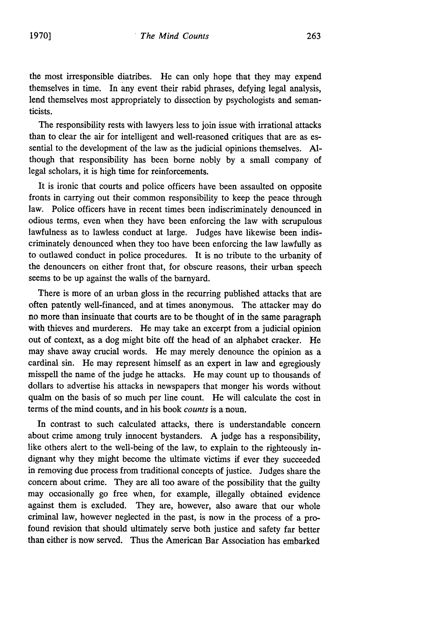the most irresponsible diatribes. He can only hope that they may expend themselves in time. In any event their rabid phrases, defying legal analysis, lend themselves most appropriately to dissection by psychologists and semanticists.

The responsibility rests with lawyers less to join issue with irrational attacks than to clear the air for intelligent and well-reasoned critiques that are as essential to the development of the law as the judicial opinions themselves. **Al**though that responsibility has been borne nobly by a small company of legal scholars, it is high time for reinforcements.

It is ironic that courts and police officers have been assaulted on opposite fronts in carrying out their common responsibility to keep the peace through law. Police officers have in recent times been indiscriminately denounced in odious terms, even when they have been enforcing the law with scrupulous lawfulness as to lawless conduct at large. Judges have likewise been indiscriminately denounced when they too have been enforcing the law lawfully as to outlawed conduct in police procedures. It is no tribute to the urbanity of the denouncers on either front that, for obscure reasons, their urban speech seems to be up against the walls of the barnyard.

There is more of an urban gloss in the recurring published attacks that are often patently well-financed, and at times anonymous. The attacker may do no more than insinuate that courts are to be thought of in the same paragraph with thieves and murderers. He may take an excerpt from a judicial opinion out of context, as a dog might bite off the head of an alphabet cracker. He may shave away crucial words. He may merely denounce the opinion as a cardinal sin. He may represent himself as an expert in law and egregiously misspell the name of the judge he attacks. He may count up to thousands of dollars to advertise his attacks in newspapers that monger his words without qualm on the basis of so much per line count. He will calculate the cost in terms of the mind counts, and in his book *counts* is a noun.

In contrast to such calculated attacks, there is understandable concern about crime among truly innocent bystanders. A judge has a responsibility, like others alert to the well-being of the law, to explain to the righteously indignant why they might become the ultimate victims if ever they succeeded in removing due process from traditional concepts of justice. Judges share the concern about crime. They are all too aware of the possibility that the guilty may occasionally go free when, for example, illegally obtained evidence against them is excluded. They are, however, also aware that our whole criminal law, however neglected in the past, is now in the process of a profound revision that should ultimately serve both justice and safety far better than either is now served. Thus the American Bar Association has embarked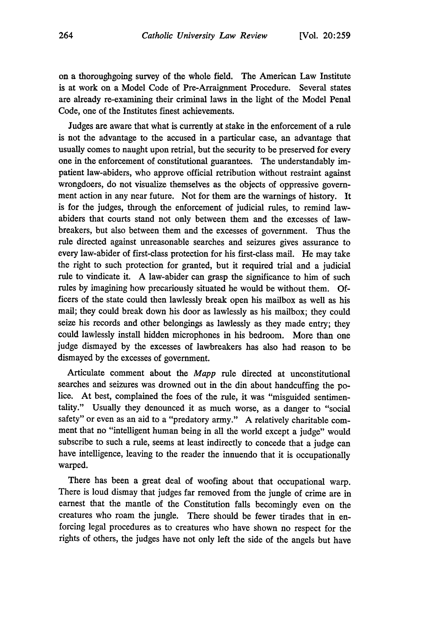on a thoroughgoing survey of the whole field. The American Law Institute is at work on a Model Code of Pre-Arraignment Procedure. Several states are already re-examining their criminal laws in the light of the Model Penal Code, one of the Institutes finest achievements.

Judges are aware that what is currently at stake in the enforcement of a rule is not the advantage to the accused in a particular case, an advantage that usually comes to naught upon retrial, but the security to be preserved for every one in the enforcement of constitutional guarantees. The understandably impatient law-abiders, who approve official retribution without restraint against wrongdoers, do not visualize themselves as the objects of oppressive government action in any near future. Not for them are the warnings of history. It is for the judges, through the enforcement of judicial rules, to remind lawabiders that courts stand not only between them and the excesses of lawbreakers, but also between them and the excesses of government. Thus the rule directed against unreasonable searches and seizures gives assurance to every law-abider of first-class protection for his first-class mail. He may take the right to such protection for granted, but it required trial and a judicial rule to vindicate it. A law-abider can grasp the significance to him of such rules by imagining how precariously situated he would be without them. Officers of the state could then lawlessly break open his mailbox as well as his mail; they could break down his door as lawlessly as his mailbox; they could seize his records and other belongings as lawlessly as they made entry; they could lawlessly install hidden microphones in his bedroom. More than one judge dismayed by the excesses of lawbreakers has also had reason to be dismayed by the excesses of government.

Articulate comment about the *Mapp* rule directed at unconstitutional searches and seizures was drowned out in the din about handcuffing the police. At best, complained the foes of the rule, it was "misguided sentimentality." Usually they denounced it as much worse, as a danger to "social safety" or even as an aid to a "predatory army." A relatively charitable comment that no "intelligent human being in all the world except a judge" would subscribe to such a rule, seems at least indirectly to concede that a judge can have intelligence, leaving to the reader the innuendo that it is occupationally warped.

There has been a great deal of woofing about that occupational warp. There is loud dismay that judges far removed from the jungle of crime are in earnest that the mantle of the Constitution falls becomingly even on the creatures who roam the jungle. There should be fewer tirades that in enforcing legal procedures as to creatures who have shown no respect for the rights of others, the judges have not only left the side of the angels but have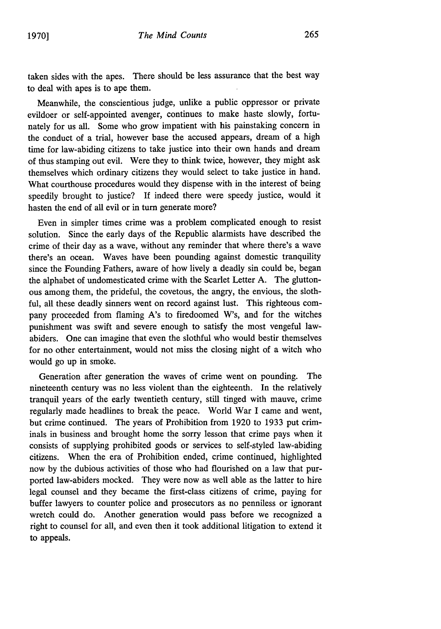taken sides with the apes. There should be less assurance that the best way to deal with apes is to ape them.

Meanwhile, the conscientious judge, unlike a public oppressor or private evildoer or self-appointed avenger, continues to make haste slowly, fortunately for us all. Some who grow impatient with his painstaking concern in the conduct of a trial, however base the accused appears, dream of a high time for law-abiding citizens to take justice into their own hands and dream of thus stamping out evil. Were they to think twice, however, they might ask themselves which ordinary citizens they would select to take justice in hand. What courthouse procedures would they dispense with in the interest of being speedily brought to justice? **If** indeed there were speedy justice, would it hasten the end of all evil or in turn generate more?

Even in simpler times crime was a problem complicated enough to resist solution. Since the early days of the Republic alarmists have described the crime of their day as a wave, without any reminder that where there's a wave there's an ocean. Waves have been pounding against domestic tranquility since the Founding Fathers, aware of how lively a deadly sin could be, began the alphabet of undomesticated crime with the Scarlet Letter A. The gluttonous among them, the prideful, the covetous, the angry, the envious, the slothful, all these deadly sinners went on record against lust. This righteous company proceeded from flaming A's to firedoomed W's, and for the witches punishment was swift and severe enough to satisfy the most vengeful lawabiders. One can imagine that even the slothful who would bestir themselves for no other entertainment, would not miss the closing night of a witch who would go up in smoke.

Generation after generation the waves of crime went on pounding. The nineteenth century was no less violent than the eighteenth. In the relatively tranquil years of the early twentieth century, still tinged with mauve, crime regularly made headlines to break the peace. World War I came and went, but crime continued. The years of Prohibition from 1920 to 1933 put criminals in business and brought home the sorry lesson that crime pays when it consists of supplying prohibited goods or services to self-styled law-abiding citizens. When the era of Prohibition ended, crime continued, highlighted now by the dubious activities of those who had flourished on a law that purported law-abiders mocked. They were now as well able as the latter to hire legal counsel and they became the first-class citizens of crime, paying for buffer lawyers to counter police and prosecutors as no penniless or ignorant wretch could do. Another generation would pass before we recognized a right to counsel for all, and even then it took additional litigation to extend it to appeals.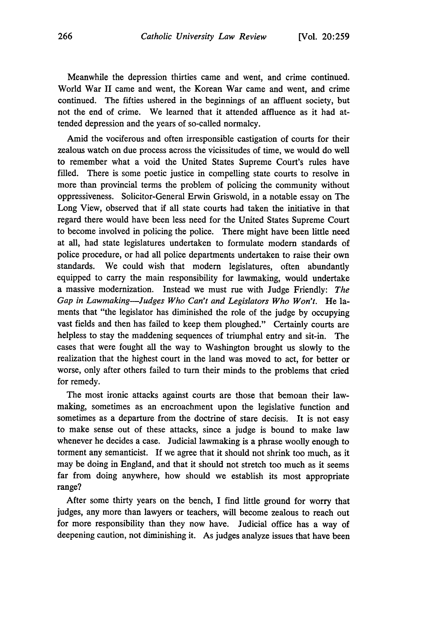Meanwhile the depression thirties came and went, and crime continued. World War II came and went, the Korean War came and went, and crime continued. The fifties ushered in the beginnings of an affluent society, but not the end of crime. We learned that it attended affluence as it had attended depression and the years of so-called normalcy.

Amid the vociferous and often irresponsible castigation of courts for their zealous watch on due process across the vicissitudes of time, we would do well to remember what a void the United States Supreme Court's rules have filled. There is some poetic justice in compelling state courts to resolve in more than provincial terms the problem of policing the community without oppressiveness. Solicitor-General Erwin Griswold, in a notable essay on The Long View, observed that if all state courts had taken the initiative in that regard there would have been less need for the United States Supreme Court to become involved in policing the police. There might have been little need at all, had state legislatures undertaken to formulate modem standards of police procedure, or had all police departments undertaken to raise their own standards. We could wish that modem legislatures, often abundantly equipped to carry the main responsibility for lawmaking, would undertake a massive modernization. Instead we must rue with Judge Friendly: *The Gap in Lawmaking-Judges Who Can't and Legislators Who Won't.* He laments that "the legislator has diminished the role of the judge by occupying vast fields and then has failed to keep them ploughed." Certainly courts are helpless to stay the maddening sequences of triumphal entry and sit-in. The cases that were fought all the way to Washington brought us slowly to the realization that the highest court in the land was moved to act, for better or worse, only after others failed to turn their minds to the problems that cried for remedy.

The most ironic attacks against courts are those that bemoan their lawmaking, sometimes as an encroachment upon the legislative function and sometimes as a departure from the doctrine of stare decisis. It is not easy to make sense out of these attacks, since a judge is bound to make law whenever he decides a case. Judicial lawmaking is a phrase woolly enough to torment any semanticist. If we agree that it should not shrink too much, as it may be doing in England, and that it should not stretch too much as it seems far from doing anywhere, how should we establish its most appropriate range?

After some thirty years on the bench, I find little ground for worry that judges, any more than lawyers or teachers, will become zealous to reach out for more responsibility than they now have. Judicial office has a way of deepening caution, not diminishing it. As judges analyze issues that have been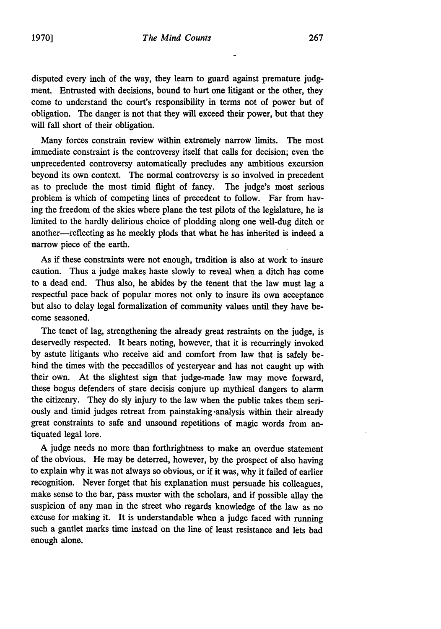disputed every inch of the way, they learn to guard against premature **judg**ment. Entrusted with decisions, bound to hurt one litigant or the other, they come to understand the court's responsibility in terms not of power but of obligation. The danger is not that they will exceed their power, but that they will fall short of their obligation.

Many forces constrain review within extremely narrow limits. The most immediate constraint is the controversy itself that calls for decision; even the unprecedented controversy automatically precludes any ambitious excursion beyond its own context. The normal controversy is so involved in precedent as to preclude the most timid flight of fancy. The judge's most serious problem is which of competing lines of precedent to follow. Far from having the freedom of the skies where plane the test pilots of the legislature, he is limited to the hardly delirious choice of plodding along one well-dug ditch or another-reflecting as he meekly plods that what he has inherited is indeed a narrow piece of the earth.

As if these constraints were not enough, tradition is also at work to insure caution. Thus a judge makes haste slowly to reveal when a ditch has come to a dead end. Thus also, he abides by the tenent that the law must lag a respectful pace back of popular mores not only to insure its own acceptance but also to delay legal formalization of community values until they have become seasoned.

The tenet of lag, strengthening the already great restraints on the judge, is deservedly respected. It bears noting, however, that it is recurringly invoked by astute litigants who receive aid and comfort from law that is safely behind the times with the peccadillos of yesteryear and has not caught up with their own. At the slightest sign that judge-made law may move forward, these bogus defenders of stare decisis conjure up mythical dangers to alarm the citizenry. They do sly injury to the law when the public takes them seriously and timid judges retreat from painstaking analysis within their already great constraints to safe and unsound repetitions of magic words from antiquated legal lore.

A judge needs no more than forthrightness to make an overdue statement of the obvious. He may be deterred, however, by the prospect of also having to explain why it was not always so obvious, or if it was, why it failed of earlier recognition. Never forget that his explanation must persuade his colleagues, make sense to the bar, pass muster with the scholars, and if possible allay the suspicion of any man in the street who regards knowledge of the law as no excuse for making it. It is understandable when a judge faced with running such a gantlet marks time instead on the line of least resistance and lets bad enough alone.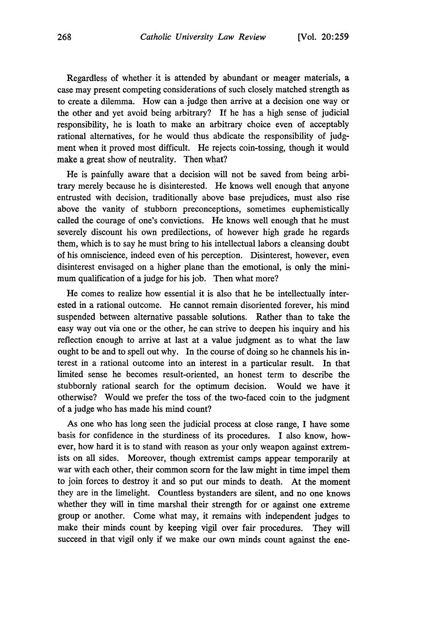Regardless of whether it is attended by abundant or meager materials, a case may present competing considerations of such closely matched strength as to create a dilemma. How can a judge then arrive at a decision one way or the other and yet avoid being arbitrary? If he has a high sense of judicial responsibility, he is loath to make an arbitrary choice even of acceptably rational alternatives, for he would thus abdicate the responsibility of judgment when it proved most difficult. He rejects coin-tossing, though it would make a great show of neutrality. Then what?

He is painfully aware that a decision will not be saved from being arbitrary merely because he is disinterested. He knows well enough that anyone entrusted with decision, traditionally above base prejudices, must also rise above the vanity of stubborn preconceptions, sometimes euphemistically called the courage of one's convictions. He knows well enough that he must severely discount his own predilections, of however high grade he regards them, which is to say he must bring to his intellectual labors a cleansing doubt of his omniscience, indeed even of his perception. Disinterest, however, even disinterest envisaged on a higher plane than the emotional, is only the minimum qualification of a judge for his job. Then what more?

He comes to realize how essential it is also that he be intellectually interested in a rational outcome. He cannot remain disoriented forever, his mind suspended between alternative passable solutions. Rather than to take the easy way out via one or the other, he can strive to deepen his inquiry and his reflection enough to arrive at last at a value judgment as to what the law ought to be and to spell out why. In the course of doing so he channels his interest in a rational outcome into an interest in a particular result. In that limited sense he becomes result-oriented, an honest term to describe the stubbornly rational search for the optimum decision. Would we have it otherwise? Would we prefer the toss of. the two-faced coin to the judgment of a judge who has made his mind count?

As one who has long seen the judicial process at close range, I have some basis for confidence in the sturdiness of its procedures. I also know, however, how hard it is to stand with reason as your only weapon against extremists on all sides. Moreover, though extremist camps appear temporarily at war with each other, their common scorn for the law might in time impel them to join forces to destroy it and so put our minds to death. At the moment they are in the limelight. Countless bystanders are silent, and no one knows whether they will in time marshal their strength for or against one extreme group or another. Come what may, it remains with independent judges to make their minds count by keeping vigil over fair procedures. They will succeed in that vigil only if we make our own minds count against the ene-